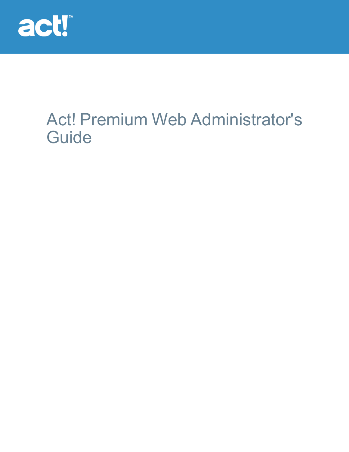

# Act! Premium Web Administrator's **Guide**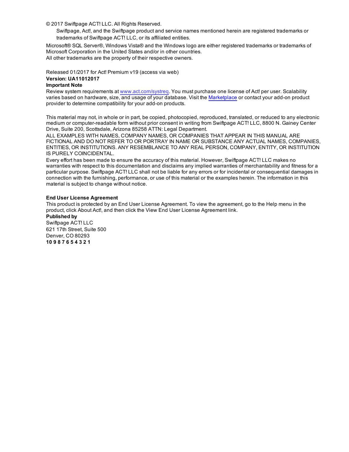© 2017 Swiftpage ACT! LLC. All Rights Reserved.

Swiftpage, Act!, and the Swiftpage product and service names mentioned herein are registered trademarks or trademarks of Swiftpage ACT! LLC, or its affiliated entities.

Microsoft® SQL Server®, Windows Vista® and the Windows logo are either registered trademarks or trademarks of Microsoft Corporation in the United States and/or in other countries. All other trademarks are the property of their respective owners.

Released 01/2017 for Act! Premium v19 (access via web)

## **Version: UA11012017**

## **Important Note**

Review system requirements at [www.act.com/systreq](http://www.act.com/systreq). You must purchase one license of Act! per user. Scalability varies based on hardware, size, and usage of your database. Visit the [Marketplace](http://www.act.com/marketplace/) or contact your add-on product provider to determine compatibility for your add-on products.

This material may not, in whole or in part, be copied, photocopied, reproduced, translated, or reduced to any electronic medium or computer-readable form without prior consent in writing from Swiftpage ACT! LLC, 8800 N. Gainey Center Drive, Suite 200, Scottsdale, Arizona 85258 ATTN: Legal Department.

ALL EXAMPLES WITH NAMES, COMPANY NAMES, OR COMPANIES THAT APPEAR IN THIS MANUAL ARE FICTIONAL AND DO NOT REFER TO OR PORTRAY IN NAME OR SUBSTANCE ANY ACTUAL NAMES, COMPANIES, ENTITIES, OR INSTITUTIONS. ANY RESEMBLANCE TO ANY REAL PERSON, COMPANY, ENTITY, OR INSTITUTION IS PURELY COINCIDENTAL.

Every effort has been made to ensure the accuracy of this material. However, Swiftpage ACT! LLC makes no warranties with respect to this documentation and disclaims any implied warranties of merchantability and fitness for a particular purpose. Swiftpage ACT! LLC shall not be liable for any errors or for incidental or consequential damages in connection with the furnishing, performance, or use of this material or the examples herein. The information in this material is subject to change without notice.

### **End User License Agreement**

This product is protected by an End User License Agreement. To view the agreement, go to the Help menu in the product, click About Act!, and then click the View End User License Agreement link.

**Published by** Swiftpage ACT! LLC 621 17th Street, Suite 500 Denver, CO 80293 **10 9 8 7 6 5 4 3 2 1**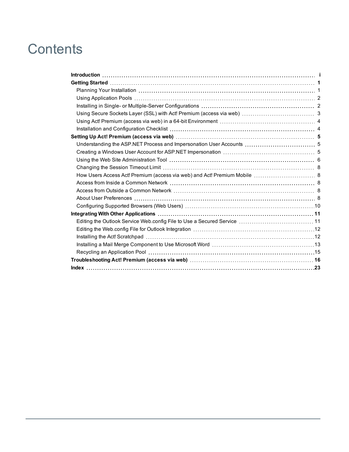# **Contents**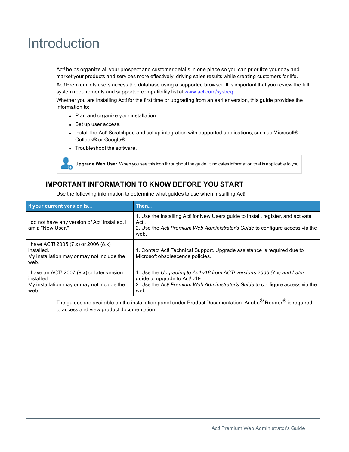# <span id="page-3-0"></span>Introduction

Act! helps organize all your prospect and customer details in one place so you can prioritize your day and market your products and services more effectively, driving sales results while creating customers for life.

Act! Premium lets users access the database using a supported browser. It is important that you review the full system requirements and supported compatibility list at [www.act.com/systreq.](http://www.act.com/systreq)

Whether you are installing Act! for the first time or upgrading from an earlier version, this guide provides the information to:

- Plan and organize your installation.
- Set up user access.
- Install the Act! Scratchpad and set up integration with supported applications, such as Microsoft® Outlook® or Google®.
- Troubleshoot the software.



**Upgrade Web User.** When you see this icon throughout the guide, it indicates information that is applicable to you.

# **IMPORTANT INFORMATION TO KNOW BEFORE YOU START**

Use the following information to determine what guides to use when installing Act!.

| If your current version is                                                                                     | Then                                                                                                                                                                                               |
|----------------------------------------------------------------------------------------------------------------|----------------------------------------------------------------------------------------------------------------------------------------------------------------------------------------------------|
| I do not have any version of Act! installed. I<br>am a "New User."                                             | 1. Use the Installing Act! for New Users quide to install, register, and activate<br>Act!.<br>2. Use the Act! Premium Web Administrator's Guide to configure access via the<br>web.                |
| I have ACT! 2005 (7.x) or 2006 (8.x)<br>installed.<br>My installation may or may not include the<br>web.       | 1. Contact Act! Technical Support. Upgrade assistance is required due to<br>Microsoft obsolescence policies.                                                                                       |
| I have an ACT! 2007 (9.x) or later version<br>installed.<br>My installation may or may not include the<br>web. | 1. Use the Upgrading to Act! v18 from ACT! versions 2005 (7.x) and Later<br>guide to upgrade to Act! v19.<br>2. Use the Act! Premium Web Administrator's Guide to configure access via the<br>web. |

The guides are available on the installation panel under Product Documentation. Adobe<sup>®</sup> Reader<sup>®</sup> is required to access and view product documentation.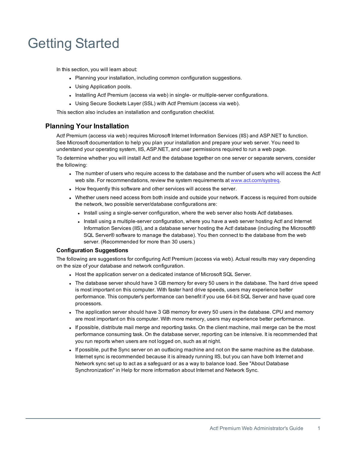# <span id="page-4-0"></span>Getting Started

In this section, you will learn about:

- Planning your installation, including common configuration suggestions.
- Using Application pools.
- Installing Act! Premium (access via web) in single- or multiple-server configurations.
- Using Secure Sockets Layer (SSL) with Act! Premium (access via web).

This section also includes an installation and configuration checklist.

# <span id="page-4-1"></span>**Planning Your Installation**

Act! Premium (access via web) requires Microsoft Internet Information Services (IIS) and ASP.NET to function. See Microsoft documentation to help you plan your installation and prepare your web server. You need to understand your operating system, IIS, ASP.NET, and user permissions required to run a web page.

<span id="page-4-2"></span>To determine whether you will install Act! and the database together on one server or separate servers, consider the following:

- The number of users who require access to the database and the number of users who will access the Act! web site. For recommendations, review the system requirements at [www.act.com/systreq](http://www.act.com/systreq).
- How frequently this software and other services will access the server.
- Whether users need access from both inside and outside your network. If access is required from outside the network, two possible server/database configurations are:
	- Install using a single-server configuration, where the web server also hosts Act! databases.
	- Install using a multiple-server configuration, where you have a web server hosting Act! and Internet Information Services (IIS), and a database server hosting the Act! database (including the Microsoft® SQL Server® software to manage the database). You then connect to the database from the web server. (Recommended for more than 30 users.)

### **Configuration Suggestions**

The following are suggestions for configuring Act! Premium (access via web). Actual results may vary depending on the size of your database and network configuration.

- Host the application server on a dedicated instance of Microsoft SQL Server.
- The database server should have 3 GB memory for every 50 users in the database. The hard drive speed is most important on this computer. With faster hard drive speeds, users may experience better performance. This computer's performance can benefit if you use 64-bit SQL Server and have quad core processors.
- The application server should have 3 GB memory for every 50 users in the database. CPU and memory are most important on this computer. With more memory, users may experience better performance.
- <sup>l</sup> If possible, distribute mail merge and reporting tasks. On the client machine, mail merge can be the most performance consuming task. On the database server, reporting can be intensive. It is recommended that you run reports when users are not logged on, such as at night.
- If possible, put the Sync server on an outfacing machine and not on the same machine as the database. Internet sync is recommended because it is already running IIS, but you can have both Internet and Network sync set up to act as a safeguard or as a way to balance load. See "About Database Synchronization" in Help for more information about Internet and Network Sync.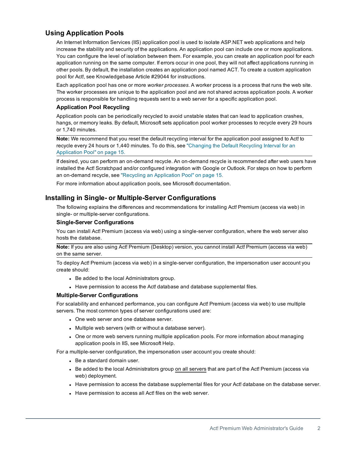# <span id="page-5-0"></span>**Using Application Pools**

<span id="page-5-2"></span>An Internet Information Services (IIS) application pool is used to isolate ASP.NET web applications and help increase the stability and security of the applications. An application pool can include one or more applications. You can configure the level of isolation between them. For example, you can create an application pool for each application running on the same computer. If errors occur in one pool, they will not affect applications running in other pools. By default, the installation creates an application pool named ACT. To create a custom application pool for Act!, see Knowledgebase Article #29044 for instructions.

Each application pool has one or more *worker processes*. A worker process is a process that runs the web site. The worker processes are unique to the application pool and are not shared across application pools. A worker process is responsible for handling requests sent to a web server for a specific application pool.

## **Application Pool Recycling**

Application pools can be periodically recycled to avoid unstable states that can lead to application crashes, hangs, or memory leaks. By default, Microsoft sets application pool worker processes to recycle every 29 hours or 1,740 minutes.

**Note:** We recommend that you reset the default recycling interval for the application pool assigned to Act! to recycle every 24 hours or 1,440 minutes. To do this, see ["Changing](#page-18-1) the Default Recycling Interval for an [Application](#page-18-1) Pool" on page 15.

If desired, you can perform an on-demand recycle. An on-demand recycle is recommended after web users have installed the Act! Scratchpad and/or configured integration with Google or Outlook. For steps on how to perform an on-demand recycle, see "Recycling an [Application](#page-18-0) Pool" on page 15.

For more information about application pools, see Microsoft documentation.

# <span id="page-5-1"></span>**Installing in Single- or Multiple-Server Configurations**

The following explains the differences and recommendations for installing Act! Premium (access via web) in single- or multiple-server configurations.

## **Single-Server Configurations**

You can install Act! Premium (access via web) using a single-server configuration, where the web server also hosts the database.

**Note:** If you are also using Act! Premium (Desktop) version, you cannot install Act! Premium (access via web) on the same server.

<span id="page-5-3"></span>To deploy Act! Premium (access via web) in a single-server configuration, the impersonation user account you create should:

- Be added to the local Administrators group.
- Have permission to access the Act! database and database supplemental files.

## **Multiple-Server Configurations**

For scalability and enhanced performance, you can configure Act! Premium (access via web) to use multiple servers. The most common types of server configurations used are:

- One web server and one database server.
- Multiple web servers (with or without a database server).
- One or more web servers running multiple application pools. For more information about managing application pools in IIS, see Microsoft Help.

<span id="page-5-4"></span>For a multiple-server configuration, the impersonation user account you create should:

- $\bullet$  Be a standard domain user.
- Be added to the local Administrators group on all servers that are part of the Act! Premium (access via web) deployment.
- Have permission to access the database supplemental files for your Act! database on the database server.
- Have permission to access all Act! files on the web server.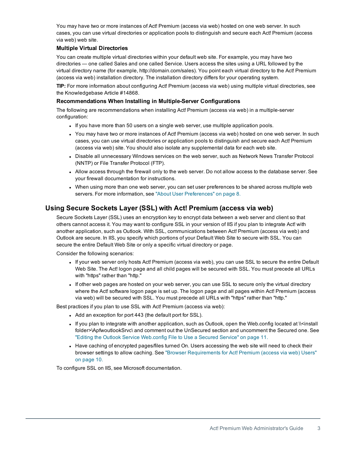You may have two or more instances of Act! Premium (access via web) hosted on one web server. In such cases, you can use virtual directories or application pools to distinguish and secure each Act! Premium (access via web) web site.

## <span id="page-6-1"></span>**Multiple Virtual Directories**

You can create multiple virtual directories within your default web site. For example, you may have two directories — one called Sales and one called Service. Users access the sites using a URL followed by the virtual directory name (for example, http://domain.com/sales). You point each virtual directory to the Act! Premium (access via web) installation directory. The installation directory differs for your operating system.

**TIP:** For more information about configuring Act! Premium (access via web) using multiple virtual directories, see the Knowledgebase Article #14868.

## <span id="page-6-2"></span>**Recommendations When Installing in Multiple-Server Configurations**

The following are recommendations when installing Act! Premium (access via web) in a multiple-server configuration:

- If you have more than 50 users on a single web server, use multiple application pools.
- You may have two or more instances of Act! Premium (access via web) hosted on one web server. In such cases, you can use virtual directories or application pools to distinguish and secure each Act! Premium (access via web) site. You should also isolate any supplemental data for each web site.
- Disable all unnecessary Windows services on the web server, such as Network News Transfer Protocol (NNTP) or File Transfer Protocol (FTP).
- Allow access through the firewall only to the web server. Do not allow access to the database server. See your firewall documentation for instructions.
- When using more than one web server, you can set user preferences to be shared across multiple web servers. For more information, see "About User [Preferences"](#page-11-4) on page 8.

# <span id="page-6-0"></span>**Using Secure Sockets Layer (SSL) with Act! Premium (access via web)**

<span id="page-6-3"></span>Secure Sockets Layer (SSL) uses an encryption key to encrypt data between a web server and client so that others cannot access it. You may want to configure SSL in your version of IIS if you plan to integrate Act! with another application, such as Outlook. With SSL, communications between Act! Premium (access via web) and Outlook are secure. In IIS, you specify which portions of your Default Web Site to secure with SSL. You can secure the entire Default Web Site or only a specific virtual directory or page.

Consider the following scenarios:

- If your web server only hosts Act! Premium (access via web), you can use SSL to secure the entire Default Web Site. The Act! logon page and all child pages will be secured with SSL. You must precede all URLs with "https" rather than "http."
- If other web pages are hosted on your web server, you can use SSL to secure only the virtual directory where the Act! software logon page is set up. The logon page and all pages within Act! Premium (access via web) will be secured with SSL. You must precede all URLs with "https" rather than "http."

Best practices if you plan to use SSL with Act! Premium (access via web):

- Add an exception for port 443 (the default port for SSL).
- If you plan to integrate with another application, such as Outlook, open the Web.config located at  $\aleph$ -install folder>\ApfwoutlookSrvc\ and comment out the UnSecured section and uncomment the Secured one. See "Editing the Outlook Service [Web.config](#page-14-1) File to Use a Secured Service" on page 11.
- Have caching of encrypted pages/files turned On. Users accessing the web site will need to check their browser settings to allow caching. See "Browser [Requirements](#page-13-0) for Act! Premium (access via web) Users" on [page 10.](#page-13-0)

To configure SSL on IIS, see Microsoft documentation.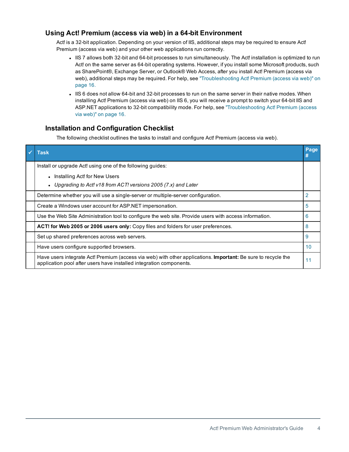# <span id="page-7-0"></span>**Using Act! Premium (access via web) in a 64-bit Environment**

Act! is a 32-bit application. Depending on your version of IIS, additional steps may be required to ensure Act! Premium (access via web) and your other web applications run correctly.

- IIS 7 allows both 32-bit and 64-bit processes to run simultaneously. The Act! installation is optimized to run Act! on the same server as 64-bit operating systems. However, if you install some Microsoft products, such as SharePoint®, Exchange Server, or Outlook® Web Access, after you install Act! Premium (access via web), additional steps may be required. For help, see ["Troubleshooting](#page-19-0) Act! Premium (access via web)" on [page 16.](#page-19-0)
- IIS 6 does not allow 64-bit and 32-bit processes to run on the same server in their native modes. When installing Act! Premium (access via web) on IIS 6, you will receive a prompt to switch your 64-bit IIS and ASP.NET applications to 32-bit compatibility mode. For help, see ["Troubleshooting](#page-19-0) Act! Premium (access via web)" on [page 16.](#page-19-0)

# <span id="page-7-1"></span>**Installation and Configuration Checklist**

The following checklist outlines the tasks to install and configure Act! Premium (access via web).

| <b>Task</b>                                                                                                                                                                                 | Page |
|---------------------------------------------------------------------------------------------------------------------------------------------------------------------------------------------|------|
| Install or upgrade Act! using one of the following quides:                                                                                                                                  |      |
| Installing Act! for New Users                                                                                                                                                               |      |
| • Upgrading to Act! v18 from ACT! versions 2005 (7.x) and Later                                                                                                                             |      |
| Determine whether you will use a single-server or multiple-server configuration.                                                                                                            |      |
| Create a Windows user account for ASP.NET impersonation.                                                                                                                                    | 5    |
| Use the Web Site Administration tool to configure the web site. Provide users with access information.                                                                                      | 6    |
| ACT! for Web 2005 or 2006 users only: Copy files and folders for user preferences.                                                                                                          | 8    |
| Set up shared preferences across web servers.                                                                                                                                               | 9    |
| Have users configure supported browsers.                                                                                                                                                    | 10   |
| Have users integrate Act! Premium (access via web) with other applications. <b>Important:</b> Be sure to recycle the<br>application pool after users have installed integration components. | 11   |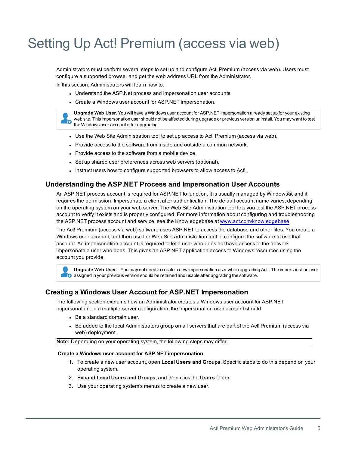# <span id="page-8-0"></span>Setting Up Act! Premium (access via web)

Administrators must perform several steps to set up and configure Act! Premium (access via web). Users must configure a supported browser and get the web address URL from the Administrator.

In this section, Administrators will learn how to:

- Understand the ASP.Net process and impersonation user accounts
- Create a Windows user account for ASP.NET impersonation.



**Upgrade Web User.** You will have a Windows user account for ASP.NET impersonation already set up for your existing web site. This impersonation user should not be affected during upgrade or previous version uninstall. You may want to test the Windows user account after upgrading.

- Use the Web Site Administration tool to set up access to Act! Premium (access via web).
- Provide access to the software from inside and outside a common network.
- Provide access to the software from a mobile device.
- Set up shared user preferences across web servers (optional).
- Instruct users how to configure supported browsers to allow access to Act!.

## <span id="page-8-1"></span>**Understanding the ASP.NET Process and Impersonation User Accounts**

An ASP.NET process account is required for ASP.NET to function. It is usually managed by Windows®, and it requires the permission: Impersonate a client after authentication. The default account name varies, depending on the operating system on your web server. The Web Site Administration tool lets you test the ASP.NET process account to verify it exists and is properly configured. For more information about configuring and troubleshooting the ASP.NET process account and service, see the Knowledgebase at [www.act.com/knowledgebase.](http://www.act.com/knowledgebase)

<span id="page-8-4"></span>The Act! Premium (access via web) software uses ASP.NET to access the database and other files. You create a Windows user account, and then use the Web Site Administration tool to configure the software to use that account. An impersonation account is required to let a user who does not have access to the network impersonate a user who does. This gives an ASP.NET application access to Windows resources using the account you provide.

**Upgrade Web User.** You may not need to create a new impersonation user when upgrading Act!. The impersonation user **C** assigned in your previous version should be retained and usable after upgrading the software.

## <span id="page-8-2"></span>**Creating a Windows User Account for ASP.NET Impersonation**

<span id="page-8-3"></span>The following section explains how an Administrator creates a Windows user account for ASP.NET impersonation. In a multiple-server configuration, the impersonation user account should:

- $\bullet$  Be a standard domain user.
- Be added to the local Administrators group on all servers that are part of the Act! Premium (access via web) deployment.

**Note:** Depending on your operating system, the following steps may differ.

#### **Create a Windows user account for ASP.NET impersonation**

- 1. To create a new user account, open **Local Users and Groups**. Specific steps to do this depend on your operating system.
- 2. Expand **Local Users and Groups**, and then click the **Users** folder.
- 3. Use your operating system's menus to create a new user.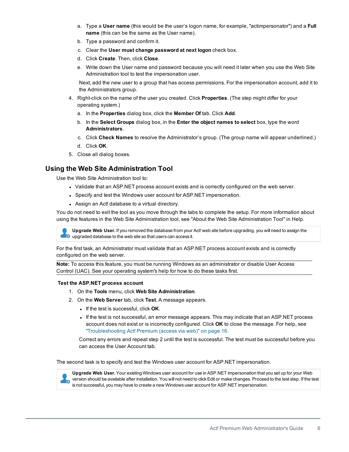- a. Type a **User name** (this would be the user's logon name, for example, "actimpersonator") and a **Full name** (this can be the same as the User name).
- b. Type a password and confirm it.
- c. Clear the **User must change password at next logon** check box.
- d. Click **Create**. Then, click **Close**.
- e. Write down the User name and password because you will need it later when you use the Web Site Administration tool to test the impersonation user.

Next, add the new user to a group that has access permissions. For the impersonation account, add it to the Administrators group.

- 4. Right-click on the name of the user you created. Click **Properties**. (The step might differ for your operating system.)
	- a. In the **Properties** dialog box, click the **Member Of** tab. Click **Add**.
	- b. In the **Select Groups** dialog box, in the **Enter the object names to select** box, type the word **Administrators**.
	- c. Click **Check Names** to resolve the Administrator's group. (The group name will appear underlined.)
	- d. Click **OK**.
- 5. Close all dialog boxes.

# <span id="page-9-0"></span>**Using the Web Site Administration Tool**

Use the Web Site Administration tool to:

- Validate that an ASP.NET process account exists and is correctly configured on the web server.
- Specify and test the Windows user account for ASP.NET impersonation.
- Assign an Act! database to a virtual directory.

You do not need to exit the tool as you move through the tabs to complete the setup. For more information about using the features in the Web Site Administration tool, see "About the Web Site Administration Tool" in Help.

**Upgrade Web User.** If you removed the database from your Act! web site before upgrading, you will need to assign the **D** upgraded database to the web site so that users can access it.

<span id="page-9-2"></span>For the first task, an Administrator must validate that an ASP.NET process account exists and is correctly configured on the web server.

**Note:** To access this feature, you must be running Windows as an administrator or disable User Access Control (UAC). See your operating system's help for how to do these tasks first.

### **Test the ASP.NET process account**

- 1. On the **Tools** menu, click **Web Site Administration**.
- 2. On the **Web Server** tab, click **Test**. A message appears.
	- **.** If the test is successful, click OK.
	- <sup>l</sup> If the test is not successful, an error message appears. This may indicate that an ASP.NET process account does not exist or is incorrectly configured. Click **OK** to close the message. For help, see ["Troubleshooting](#page-19-0) Act! Premium (access via web)" on page 16.

Correct any errors and repeat step 2 until the test is successful. The test must be successful before you can access the User Account tab.

<span id="page-9-1"></span>The second task is to specify and test the Windows user account for ASP.NET impersonation.

**Upgrade Web User.** Your existing Windows user account for use in ASP.NET impersonation that you set up for your Web **V<sub>C</sub>** version should be available after installation. You will not need to click Edit or make changes. Proceed to the test step. If the test is not successful, you may have to create a new Windows user account for ASP.NET impersonation.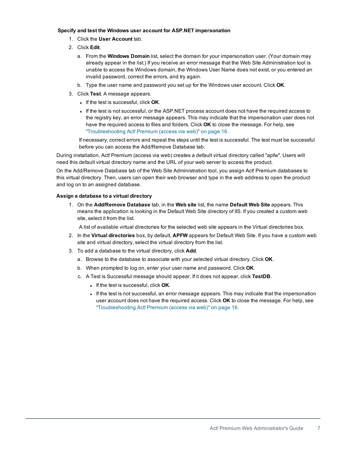### **Specify and test the Windows user account for ASP.NET impersonation**

- 1. Click the **User Account** tab.
- 2. Click **Edit**.
	- a. From the **Windows Domain** list, select the domain for your impersonation user. (Your domain may already appear in the list.) If you receive an error message that the Web Site Administration tool is unable to access the Windows domain, the Windows User Name does not exist, or you entered an invalid password, correct the errors, and try again.
	- b. Type the user name and password you set up for the Windows user account. Click **OK**.
- 3. Click **Test**. A message appears.
	- **.** If the test is successful, click OK.
	- <sup>l</sup> If the test is not successful, or the ASP.NET process account does not have the required access to the registry key, an error message appears. This may indicate that the impersonation user does not have the required access to files and folders. Click **OK** to close the message. For help, see ["Troubleshooting](#page-19-0) Act! Premium (access via web)" on page 16.

If necessary, correct errors and repeat the steps until the test is successful. The test must be successful before you can access the Add/Remove Database tab.

<span id="page-10-1"></span>During installation, Act! Premium (access via web) creates a default virtual directory called "apfw". Users will need this default virtual directory name and the URL of your web server to access the product.

On the Add/Remove Database tab of the Web Site Administration tool, you assign Act! Premium databases to this virtual directory. Then, users can open their web browser and type in the web address to open the product and log on to an assigned database.

## **Assign a database to a virtual directory**

<span id="page-10-0"></span>1. On the **Add/Remove Database** tab, in the **Web site** list, the name **Default Web Site** appears. This means the application is looking in the Default Web Site directory of IIS. If you created a custom web site, select it from the list.

A list of available virtual directories for the selected web site appears in the Virtual directories box.

- 2. In the **Virtual directories** box, by default, **APFW** appears for Default Web Site. If you have a custom web site and virtual directory, select the virtual directory from the list.
- 3. To add a database to the virtual directory, click **Add**.
	- a. Browse to the database to associate with your selected virtual directory. Click **OK**.
	- b. When prompted to log on, enter your user name and password. Click **OK**.
	- c. A Test is Successful message should appear. If it does not appear, click **TestDB**.
		- **.** If the test is successful, click OK.
		- If the test is not successful, an error message appears. This may indicate that the impersonation user account does not have the required access. Click **OK** to close the message. For help, see ["Troubleshooting](#page-19-0) Act! Premium (access via web)" on page 16.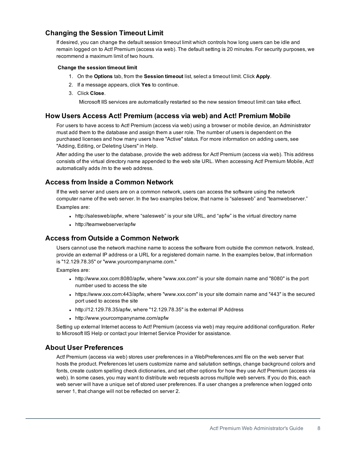# <span id="page-11-0"></span>**Changing the Session Timeout Limit**

<span id="page-11-6"></span>If desired, you can change the default session timeout limit which controls how long users can be idle and remain logged on to Act! Premium (access via web). The default setting is 20 minutes. For security purposes, we recommend a maximum limit of two hours.

## **Change the session timeout limit**

- 1. On the **Options** tab, from the **Session timeout** list, select a timeout limit. Click **Apply**.
- 2. If a message appears, click **Yes** to continue.
- 3. Click **Close**.

Microsoft IIS services are automatically restarted so the new session timeout limit can take effect.

# <span id="page-11-1"></span>**How Users Access Act! Premium (access via web) and Act! Premium Mobile**

<span id="page-11-9"></span>For users to have access to Act! Premium (access via web) using a browser or mobile device, an Administrator must add them to the database and assign them a user role. The number of users is dependent on the purchased licenses and how many users have "Active" status. For more information on adding users, see "Adding, Editing, or Deleting Users" in Help.

<span id="page-11-5"></span>After adding the user to the database, provide the web address for Act! Premium (access via web). This address consists of the virtual directory name appended to the web site URL. When accessing Act! Premium Mobile, Act! automatically adds /m to the web address.

# <span id="page-11-2"></span>**Access from Inside a Common Network**

If the web server and users are on a common network, users can access the software using the network computer name of the web server. In the two examples below, that name is "salesweb" and "teamwebserver." Examples are:

- http://salesweb/apfw, where "salesweb" is your site URL, and "apfw" is the virtual directory name
- http://teamwebserver/apfw

# <span id="page-11-3"></span>**Access from Outside a Common Network**

Users cannot use the network machine name to access the software from outside the common network. Instead, provide an external IP address or a URL for a registered domain name. In the examples below, that information is "12.129.78.35" or "www.yourcompanyname.com."

<span id="page-11-7"></span>Examples are:

- <sup>l</sup> http://www.xxx.com:8080/apfw, where "www.xxx.com" is your site domain name and "8080" is the port number used to access the site
- <sup>l</sup> https://www.xxx.com:443/apfw, where "www.xxx.com" is your site domain name and "443" is the secured port used to access the site
- http://12.129.78.35/apfw, where "12.129.78.35" is the external IP Address
- http://www.yourcompanyname.com/apfw

Setting up external Internet access to Act! Premium (access via web) may require additional configuration. Refer to Microsoft IIS Help or contact your Internet Service Provider for assistance.

## <span id="page-11-4"></span>**About User Preferences**

<span id="page-11-8"></span>Act! Premium (access via web) stores user preferences in a WebPreferences.xml file on the web server that hosts the product. Preferences let users customize name and salutation settings, change background colors and fonts, create custom spelling check dictionaries, and set other options for how they use Act! Premium (access via web). In some cases, you may want to distribute web requests across multiple web servers. If you do this, each web server will have a unique set of stored user preferences. If a user changes a preference when logged onto server 1, that change will not be reflected on server 2.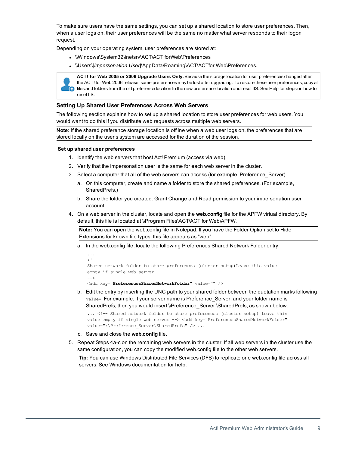To make sure users have the same settings, you can set up a shared location to store user preferences. Then, when a user logs on, their user preferences will be the same no matter what server responds to their logon request.

<span id="page-12-2"></span>Depending on your operating system, user preferences are stored at:

- . \\Windows\System32\inetsrv\ACT\ACT forWeb\Preferences
- <span id="page-12-1"></span>. \\Users\[Impersonation User]\AppData\Roaming\ACT\ACTfor Web\Preferences.



**ACT! for Web 2005 or 2006 Upgrade Users Only.** Because the storage location for user preferences changed after the ACT! for Web 2006 release, some preferences may be lost after upgrading. To restore these user preferences, copy all files and folders from the old preference location to the new preference location and reset IIS. See Help for steps on how to reset IIS.

## <span id="page-12-3"></span><span id="page-12-0"></span>**Setting Up Shared User Preferences Across Web Servers**

The following section explains how to set up a shared location to store user preferences for web users. You would want to do this if you distribute web requests across multiple web servers.

**Note:** If the shared preference storage location is offline when a web user logs on, the preferences that are stored locally on the user's system are accessed for the duration of the session.

### **Set up shared user preferences**

- 1. Identify the web servers that host Act! Premium (access via web).
- 2. Verify that the impersonation user is the same for each web server in the cluster.
- 3. Select a computer that all of the web servers can access (for example, Preference\_Server).
	- a. On this computer, create and name a folder to store the shared preferences. (For example, SharedPrefs.)
	- b. Share the folder you created. Grant Change and Read permission to your impersonation user account.
- 4. On a web server in the cluster, locate and open the **web.config** file for the APFW virtual directory. By default, this file is located at \\Program Files\ACT\ACT for Web\APFW.

**Note:** You can open the web.config file in Notepad. If you have the Folder Option set to Hide Extensions for known file types, this file appears as "web".

a. In the web.config file, locate the following Preferences Shared Network Folder entry.

```
...
< 1 - -Shared network folder to store preferences (cluster setup) Leave this value
empty if single web server
-->
<add key="PreferencesSharedNetworkFolder" value="" />
```
b. Edit the entry by inserting the UNC path to your shared folder between the quotation marks following value=. For example, if your server name is Preference Server, and your folder name is SharedPrefs, then you would insert \\Preference\_Server \SharedPrefs, as shown below.

```
... <!-- Shared network folder to store preferences (cluster setup) Leave this
value empty if single web server --> <add key="PreferencesSharedNetworkFolder"
value="\\Preference Server\SharedPrefs" /> ...
```
- c. Save and close the **web.config** file.
- 5. Repeat Steps 4a-c on the remaining web servers in the cluster. If all web servers in the cluster use the same configuration, you can copy the modified web.config file to the other web servers.

**Tip:** You can use Windows Distributed File Services (DFS) to replicate one web.config file across all servers. See Windows documentation for help.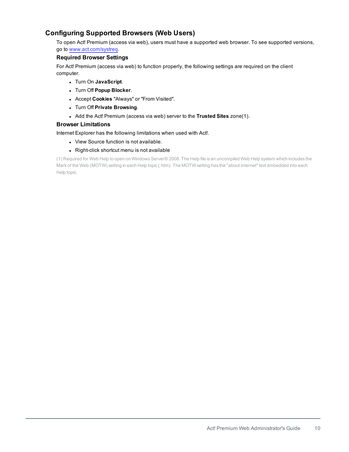# <span id="page-13-0"></span>**Configuring Supported Browsers (Web Users)**

To open Act! Premium (access via web), users must have a supported web browser. To see supported versions, go to [www.act.com/systreq](http://www.act.com/systreq).

## <span id="page-13-1"></span>**Required Browser Settings**

For Act! Premium (access via web) to function properly, the following settings are required on the client computer.

- <sup>l</sup> Turn On **JavaScript**.
- <sup>l</sup> Turn Off **Popup Blocker**.
- <sup>l</sup> Accept **Cookies** "Always" or "From Visited".
- <sup>l</sup> Turn Off **Private Browsing**.
- <sup>l</sup> Add the Act! Premium (access via web) server to the **Trusted Sites** zone(1).

## <span id="page-13-2"></span>**Browser Limitations**

Internet Explorer has the following limitations when used with Act!.

- View Source function is not available.
- Right-click shortcut menu is not available

<span id="page-13-3"></span>(1) Required for Web Help to open on WindowsServer® 2008. The Help file is an uncompiled Web Help system which includes the Mark of the Web (MOTW) setting in each Help topic (.htm). The MOTW setting has the "about:internet" text embedded into each Help topic.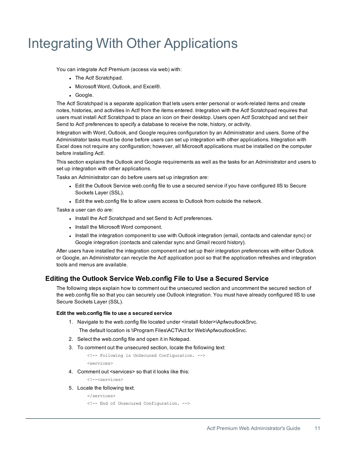# <span id="page-14-0"></span>Integrating With Other Applications

You can integrate Act! Premium (access via web) with:

- The Act! Scratchpad.
- Microsoft Word, Outlook, and Excel®.
- Google.

The Act! Scratchpad is a separate application that lets users enter personal or work-related items and create notes, histories, and activities in Act! from the items entered. Integration with the Act! Scratchpad requires that users must install Act! Scratchpad to place an icon on their desktop. Users open Act! Scratchpad and set their Send to Act! preferences to specify a database to receive the note, history, or activity.

Integration with Word, Outlook, and Google requires configuration by an Administrator and users. Some of the Administrator tasks must be done before users can set up integration with other applications. Integration with Excel does not require any configuration; however, all Microsoft applications must be installed on the computer before installing Act!.

This section explains the Outlook and Google requirements as well as the tasks for an Administrator and users to set up integration with other applications.

Tasks an Administrator can do before users set up integration are:

- Edit the Outlook Service web.config file to use a secured service if you have configured IIS to Secure Sockets Layer (SSL).
- Edit the web.config file to allow users access to Outlook from outside the network.

Tasks a user can do are:

- . Install the Act! Scratchpad and set Send to Act! preferences.
- Install the Microsoft Word component.
- Install the integration component to use with Outlook integration (email, contacts and calendar sync) or Google integration (contacts and calendar sync and Gmail record history).

After users have installed the integration component and set up their integration preferences with either Outlook or Google, an Administrator can recycle the Act! application pool so that the application refreshes and integration tools and menus are available.

# <span id="page-14-1"></span>**Editing the Outlook Service Web.config File to Use a Secured Service**

<span id="page-14-2"></span>The following steps explain how to comment out the unsecured section and uncomment the secured section of the web.config file so that you can securely use Outlook integration. You must have already configured IIS to use Secure Sockets Layer (SSL).

### **Edit the web.config file to use a secured service**

1. Navigate to the web.config file located under <install folder>\ApfwoutlookSrvc.

The default location is \\Program Files\ACT\Act for Web\ApfwoutlookSrvc.

- 2. Select the web.config file and open it in Notepad.
- 3. To comment out the unsecured section, locate the following text:

```
<!-- Following is UnSecured Configuration. -->
<services>
```
4. Comment out <services> so that it looks like this:

<!--<services>

5. Locate the following text:

</services>

```
<!-- End of Unsecured Configuration. -->
```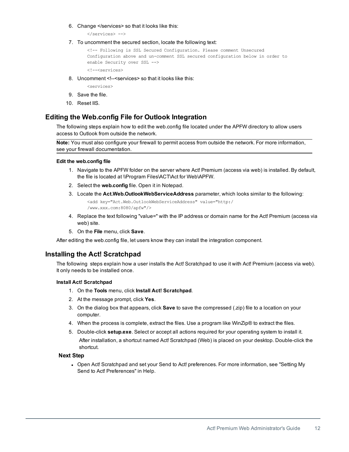6. Change </services> so that it looks like this:

</services> -->

7. To uncomment the secured section, locate the following text:

```
<!-- Following is SSL Secured Configuration. Please comment Unsecured
Configuration above and un-comment SSL secured configuration below in order to
enable Security over SSL -->
```
<!--<services>

8. Uncomment <!--<services> so that it looks like this:

<services>

- 9. Save the file.
- 10. Reset IIS.

# <span id="page-15-0"></span>**Editing the Web.config File for Outlook Integration**

The following steps explain how to edit the web.config file located under the APFW directory to allow users access to Outlook from outside the network.

**Note:** You must also configure your firewall to permit access from outside the network. For more information, see your firewall documentation.

#### **Edit the web.config file**

- 1. Navigate to the APFW folder on the server where Act! Premium (access via web) is installed. By default, the file is located at \\Program Files\ACT\Act for Web\APFW.
- 2. Select the **web.config** file. Open it in Notepad.
- 3. Locate the **Act.Web.OutlookWebServiceAddress** parameter, which looks similar to the following:

<add key="Act.Web.OutlookWebServiceAddress" value="http:/ /www.xxx.com:8080/apfw"/>

- 4. Replace the text following "value=" with the IP address or domain name for the Act! Premium (access via web) site.
- 5. On the **File** menu, click **Save**.

After editing the web.config file, let users know they can install the integration component.

## <span id="page-15-1"></span>**Installing the Act! Scratchpad**

<span id="page-15-2"></span>The following steps explain how a user installs the Act! Scratchpad to use it with Act! Premium (access via web). It only needs to be installed once.

## **Install Act! Scratchpad**

- 1. On the **Tools** menu, click **Install Act! Scratchpad**.
- 2. At the message prompt, click **Yes**.
- 3. On the dialog box that appears, click **Save** to save the compressed (.zip) file to a location on your computer.
- 4. When the process is complete, extract the files. Use a program like WinZip® to extract the files.
- 5. Double-click **setup.exe**. Select or accept all actions required for your operating system to install it. After installation, a shortcut named Act! Scratchpad (Web) is placed on your desktop. Double-click the shortcut.

## **Next Step**

• Open Act! Scratchpad and set your Send to Act! preferences. For more information, see "Setting My Send to Act! Preferences" in Help.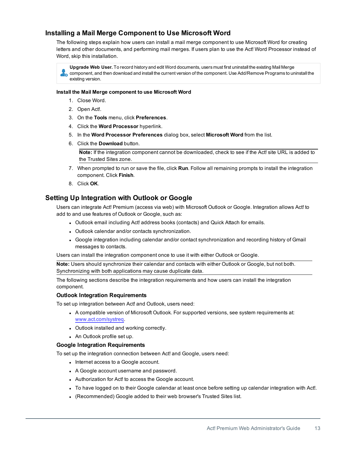# <span id="page-16-0"></span>**Installing a Mail Merge Component to Use Microsoft Word**

<span id="page-16-2"></span>The following steps explain how users can install a mail merge component to use Microsoft Word for creating letters and other documents, and performing mail merges. If users plan to use the Act! Word Processor instead of Word, skip this installation.

**Upgrade Web User.** To record history and edit Word documents, users must first uninstall the existing Mail Merge component, and then download and install the current version of the component. Use Add/Remove Programs to uninstall the existing version.

### **Install the Mail Merge component to use Microsoft Word**

- 1. Close Word.
- 2. Open Act!.
- 3. On the **Tools** menu, click **Preferences**.
- 4. Click the **Word Processor** hyperlink.
- 5. In the **Word Processor Preferences** dialog box, select **Microsoft Word** from the list.
- 6. Click the **Download** button.

**Note:** If the integration component cannot be downloaded, check to see if the Act! site URL is added to the Trusted Sites zone.

- 7. When prompted to run or save the file, click **Run**. Follow all remaining prompts to install the integration component. Click **Finish**.
- 8. Click **OK**.

# **Setting Up Integration with Outlook or Google**

Users can integrate Act! Premium (access via web) with Microsoft Outlook or Google. Integration allows Act! to add to and use features of Outlook or Google, such as:

- <sup>l</sup> Outlook email including Act! address books (contacts) and Quick Attach for emails.
- Outlook calendar and/or contacts synchronization.
- Google integration including calendar and/or contact synchronization and recording history of Gmail messages to contacts.

Users can install the integration component once to use it with either Outlook or Google.

**Note:** Users should synchronize their calendar and contacts with either Outlook or Google, but not both. Synchronizing with both applications may cause duplicate data.

The following sections describe the integration requirements and how users can install the integration component.

## <span id="page-16-3"></span>**Outlook Integration Requirements**

To set up integration between Act! and Outlook, users need:

- A compatible version of Microsoft Outlook. For supported versions, see system requirements at: [www.act.com/systreq.](http://www.act.com/systreq)
- Outlook installed and working correctly.
- An Outlook profile set up.

## <span id="page-16-1"></span>**Google Integration Requirements**

To set up the integration connection between Act! and Google, users need:

- Internet access to a Google account.
- A Google account username and password.
- Authorization for Act! to access the Google account.
- To have logged on to their Google calendar at least once before setting up calendar integration with Act!.
- (Recommended) Google added to their web browser's Trusted Sites list.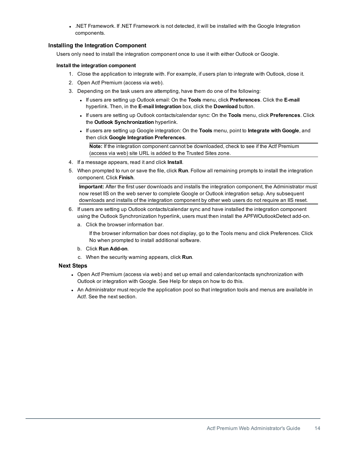. NET Framework. If .NET Framework is not detected, it will be installed with the Google Integration components.

## <span id="page-17-0"></span>**Installing the Integration Component**

Users only need to install the integration component once to use it with either Outlook or Google.

## **Install the integration component**

- 1. Close the application to integrate with. For example, if users plan to integrate with Outlook, close it.
- 2. Open Act! Premium (access via web).
- 3. Depending on the task users are attempting, have them do one of the following:
	- <sup>l</sup> If users are setting up Outlook email: On the **Tools** menu, click **Preferences**. Click the **E-mail** hyperlink. Then, in the **E-mail Integration** box, click the **Download** button.
	- <sup>l</sup> If users are setting up Outlook contacts/calendar sync: On the **Tools** menu, click **Preferences**. Click the **Outlook Synchronization** hyperlink.
	- <sup>l</sup> If users are setting up Google integration: On the **Tools** menu, point to **Integrate with Google**, and then click **Google Integration Preferences**.

**Note:** If the integration component cannot be downloaded, check to see if the Act! Premium (access via web) site URL is added to the Trusted Sites zone.

- 4. If a message appears, read it and click **Install**.
- 5. When prompted to run or save the file, click **Run**. Follow all remaining prompts to install the integration component. Click **Finish**.

**Important:** After the first user downloads and installs the integration component, the Administrator must now reset IIS on the web server to complete Google or Outlook integration setup. Any subsequent downloads and installs of the integration component by other web users do not require an IIS reset.

- 6. If users are setting up Outlook contacts/calendar sync and have installed the integration component using the Outlook Synchronization hyperlink, users must then install the APFWOutlookDetect add-on.
	- a. Click the browser information bar.

If the browser information bar does not display, go to the Tools menu and click Preferences. Click No when prompted to install additional software.

- b. Click **Run Add-on**.
- c. When the security warning appears, click **Run**.

## **Next Steps**

- <sup>l</sup> Open Act! Premium (access via web) and set up email and calendar/contacts synchronization with Outlook or integration with Google. See Help for steps on how to do this.
- An Administrator must recycle the application pool so that integration tools and menus are available in Act!. See the next section.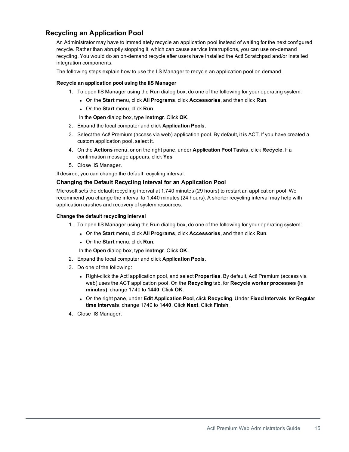# <span id="page-18-0"></span>**Recycling an Application Pool**

<span id="page-18-3"></span>An Administrator may have to immediately recycle an application pool instead of waiting for the next configured recycle. Rather than abruptly stopping it, which can cause service interruptions, you can use on-demand recycling. You would do an on-demand recycle after users have installed the Act! Scratchpad and/or installed integration components.

The following steps explain how to use the IIS Manager to recycle an application pool on demand.

## **Recycle an application pool using the IIS Manager**

- 1. To open IIS Manager using the Run dialog box, do one of the following for your operating system:
	- <sup>l</sup> On the **Start** menu, click **All Programs**, click **Accessories**, and then click **Run**.
	- <sup>l</sup> On the **Start** menu, click **Run**.

In the **Open** dialog box, type **inetmgr**. Click **OK**.

- 2. Expand the local computer and click **Application Pools**.
- 3. Select the Act! Premium (access via web) application pool. By default, it is ACT. If you have created a custom application pool, select it.
- 4. On the **Actions** menu, or on the right pane, under **Application Pool Tasks**, click **Recycle**. If a confirmation message appears, click **Yes**
- 5. Close IIS Manager.

<span id="page-18-1"></span>If desired, you can change the default recycling interval.

## <span id="page-18-2"></span>**Changing the Default Recycling Interval for an Application Pool**

Microsoft sets the default recycling interval at 1,740 minutes (29 hours) to restart an application pool. We recommend you change the interval to 1,440 minutes (24 hours). A shorter recycling interval may help with application crashes and recovery of system resources.

### **Change the default recycling interval**

- 1. To open IIS Manager using the Run dialog box, do one of the following for your operating system:
	- <sup>l</sup> On the **Start** menu, click **All Programs**, click **Accessories**, and then click **Run**.
	- <sup>l</sup> On the **Start** menu, click **Run**.
	- In the **Open** dialog box, type **inetmgr**. Click **OK**.
- 2. Expand the local computer and click **Application Pools**.
- 3. Do one of the following:
	- <sup>l</sup> Right-click the Act! application pool, and select **Properties**. By default, Act! Premium (access via web) uses the ACT application pool. On the **Recycling** tab, for **Recycle worker processes (in minutes)**, change 1740 to **1440**. Click **OK**.
	- <sup>l</sup> On the right pane, under **Edit Application Pool**, click **Recycling**. Under **Fixed Intervals**, for **Regular time intervals**, change 1740 to **1440**. Click **Next**. Click **Finish**.
- 4. Close IIS Manager.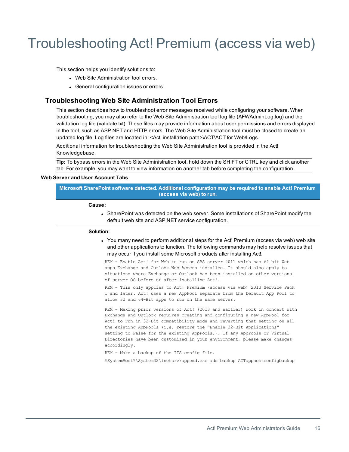# <span id="page-19-0"></span>Troubleshooting Act! Premium (access via web)

This section helps you identify solutions to:

- Web Site Administration tool errors.
- **.** General configuration issues or errors.

# <span id="page-19-1"></span>**Troubleshooting Web Site Administration Tool Errors**

This section describes how to troubleshoot error messages received while configuring your software. When troubleshooting, you may also refer to the Web Site Administration tool log file (AFWAdminLog.log) and the validation log file (validate.txt). These files may provide information about user permissions and errors displayed in the tool, such as ASP.NET and HTTP errors. The Web Site Administration tool must be closed to create an updated log file. Log files are located in: <Act! installation path>\ACT\ACT for Web\Logs.

Additional information for troubleshooting the Web Site Administration tool is provided in the Act! Knowledgebase.

**Tip:** To bypass errors in the Web Site Administration tool, hold down the SHIFT or CTRL key and click another tab. For example, you may want to view information on another tab before completing the configuration.

### **Web Server and User Account Tabs**

**Microsoft SharePoint software detected. Additional configuration may be required to enable Act! Premium (access via web) to run.**

#### **Cause:**

• SharePoint was detected on the web server. Some installations of SharePoint modify the default web site and ASP.NET service configuration.

#### **Solution:**

• You many need to perform additional steps for the Act! Premium (access via web) web site and other applications to function. The following commands may help resolve issues that may occur if you install some Microsoft products after installing Act!.

REM - Enable Act! for Web to run on SBS server 2011 which has 64 bit Web apps Exchange and Outlook Web Access installed. It should also apply to situations where Exchange or Outlook has been installed on other versions of server OS before or after installing Act!.

REM - This only applies to Act! Premium (access via web) 2013 Service Pack 1 and later. Act! uses a new AppPool separate from the Default App Pool to allow 32 and 64-Bit apps to run on the same server.

REM - Making prior versions of Act! (2013 and earlier) work in concert with Exchange and Outlook requires creating and configuring a new AppPool for Act! to run in 32-Bit compatibility mode and reverting that setting on all the existing AppPools (i.e. restore the "Enable 32-Bit Applications" setting to False for the existing AppPools.). If any AppPools or Virtual Directories have been customized in your environment, please make changes accordingly.

REM - Make a backup of the IIS config file.

%SystemRoot%\System32\inetsrv\appcmd.exe add backup ACTapphostconfigbackup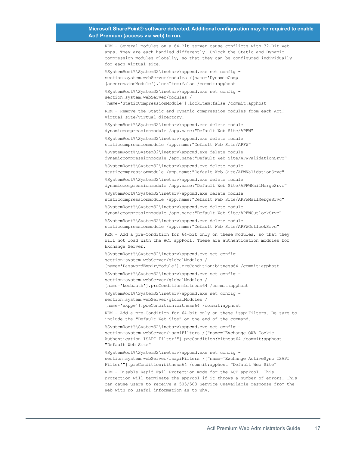### **Microsoft SharePoint® software detected. Additional configuration may be required to enable Act! Premium (access via web) to run.**

REM - Several modules on a 64-Bit server cause conflicts with 32-Bit web

apps. They are each handled differently. Unlock the Static and Dynamic compression modules globally, so that they can be configured individually for each virtual site. %SystemRoot%\System32\inetsrv\appcmd.exe set config section:system.webServer/modules /[name='DynamicComp (acceressionModule'].lockItem:false /commit:apphost %SystemRoot%\System32\inetsrv\appcmd.exe set config section:system.webServer/modules / [name='StaticCompressionModule'].lockItem:false /commit:apphost REM - Remove the Static and Dynamic compression modules from each Act! virtual site/virtual directory. %SystemRoot%\System32\inetsrv\appcmd.exe delete module dynamiccompressionmodule /app.name:"Default Web Site/APFW" %SystemRoot%\System32\inetsrv\appcmd.exe delete module staticcompressionmodule /app.name:"Default Web Site/APFW" %SystemRoot%\System32\inetsrv\appcmd.exe delete module dynamiccompressionmodule /app.name:"Default Web Site/AFWValidationSrvc" %SystemRoot%\System32\inetsrv\appcmd.exe delete module staticcompressionmodule /app.name:"Default Web Site/AFWValidationSrvc" %SystemRoot%\System32\inetsrv\appcmd.exe delete module dynamiccompressionmodule /app.name:"Default Web Site/APFWMailMergeSrvc" %SystemRoot%\System32\inetsrv\appcmd.exe delete module staticcompressionmodule /app.name:"Default Web Site/APFWMailMergeSrvc" %SystemRoot%\System32\inetsrv\appcmd.exe delete module dynamiccompressionmodule /app.name:"Default Web Site/APFWOutlookSrvc" %SystemRoot%\System32\inetsrv\appcmd.exe delete module staticcompressionmodule /app.name:"Default Web Site/APFWOutlookSrvc" REM - Add a pre-Condition for 64-bit only on these modules, so that they will not load with the ACT appPool. These are authentication modules for Exchange Server. %SystemRoot%\System32\inetsrv\appcmd.exe set config section:system.webServer/globalModules / [name='PasswordExpiryModule'].preCondition:bitness64 /commit:apphost %SystemRoot%\System32\inetsrv\appcmd.exe set config section:system.webServer/globalModules / [name='kerbauth'].preCondition:bitness64 /commit:apphost %SystemRoot%\System32\inetsrv\appcmd.exe set config section:system.webServer/globalModules / [name='exppw'].preCondition:bitness64 /commit:apphost REM - Add a pre-Condition for 64-bit only on these isapiFilters. Be sure to include the "Default Web Site" on the end of the command. %SystemRoot%\System32\inetsrv\appcmd.exe set config section:system.webServer/isapiFilters /["name='Exchange OWA Cookie Authentication ISAPI Filter'"].preCondition:bitness64 /commit:apphost "Default Web Site" %SystemRoot%\System32\inetsrv\appcmd.exe set config section:system.webServer/isapiFilters /["name='Exchange ActiveSync ISAPI Filter'"].preCondition:bitness64 /commit:apphost "Default Web Site" REM - Disable Rapid Fail Protection mode for the ACT appPool. This protection will terminate the appPool if it throws a number of errors. This can cause users to receive a 505/503 Service Unavailable response from the web with no useful information as to why.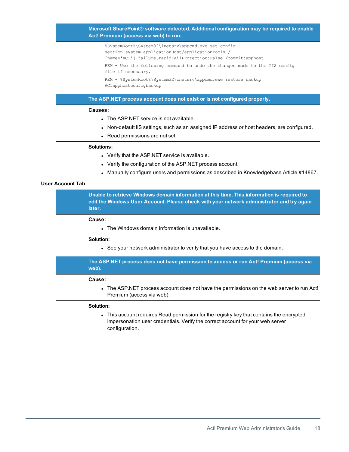## **Microsoft SharePoint® software detected. Additional configuration may be required to enable Act! Premium (access via web) to run.**

%SystemRoot%\System32\inetsrv\appcmd.exe set config section:system.applicationHost/applicationPools / [name='ACT'].failure.rapidFailProtection:False /commit:apphost REM - Use the following command to undo the changes made to the IIS config file if necessary. REM - %SystemRoot%\System32\inetsrv\appcmd.exe restore backup ACTapphostconfigbackup

## **The ASP.NET process account does not exist or is not configured properly.**

#### **Causes:**

- The ASP.NET service is not available.
- Non-default IIS settings, such as an assigned IP address or host headers, are configured.
- Read permissions are not set.

#### **Solutions:**

- Verify that the ASP.NET service is available.
- Verify the configuration of the ASP.NET process account.
- Manually configure users and permissions as described in Knowledgebase Article #14867.

## **User Account Tab**

**Unable to retrieve Windows domain information at this time. This information is required to edit the Windows User Account. Please check with your network administrator and try again later.**

#### **Cause:**

 $\blacksquare$  The Windows domain information is unavailable.

#### **Solution:**

• See your network administrator to verify that you have access to the domain.

## **The ASP.NET process does not have permission to access or run Act! Premium (access via web).**

#### **Cause:**

The ASP.NET process account does not have the permissions on the web server to run Act! Premium (access via web).

#### **Solution:**

• This account requires Read permission for the registry key that contains the encrypted impersonation user credentials. Verify the correct account for your web server configuration.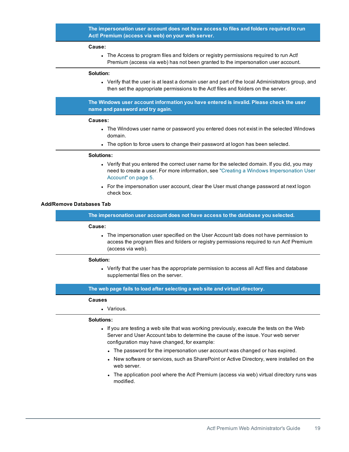## **The impersonation user account does not have access to files and folders required to run Act! Premium (access via web) on your web server.**

#### **Cause:**

The Access to program files and folders or registry permissions required to run Act! Premium (access via web) has not been granted to the impersonation user account.

#### **Solution:**

• Verify that the user is at least a domain user and part of the local Administrators group, and then set the appropriate permissions to the Act! files and folders on the server.

**The Windows user account information you have entered is invalid. Please check the user name and password and try again.**

#### **Causes:**

- The Windows user name or password you entered does not exist in the selected Windows domain.
- The option to force users to change their password at logon has been selected.

#### **Solutions:**

- Verify that you entered the correct user name for the selected domain. If you did, you may need to create a user. For more information, see "Creating a Windows [Impersonation](#page-8-2) User [Account"](#page-8-2) on page 5.
- For the impersonation user account, clear the User must change password at next logon check box.

### **Add/Remove Databases Tab**

**The impersonation user account does not have access to the database you selected.**

#### **Cause:**

• The impersonation user specified on the User Account tab does not have permission to access the program files and folders or registry permissions required to run Act! Premium (access via web).

#### **Solution:**

• Verify that the user has the appropriate permission to access all Act! files and database supplemental files on the server.

## **The web page fails to load after selecting a web site and virtual directory.**

#### **Causes**

• Various.

#### **Solutions:**

- $\bullet$  If you are testing a web site that was working previously, execute the tests on the Web Server and User Account tabs to determine the cause of the issue. Your web server configuration may have changed, for example:
	- The password for the impersonation user account was changed or has expired.
	- New software or services, such as SharePoint or Active Directory, were installed on the web server.
	- The application pool where the Act! Premium (access via web) virtual directory runs was modified.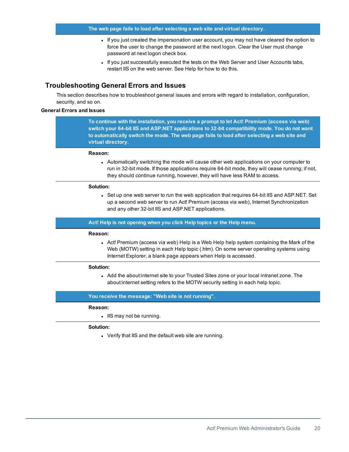- If you just created the impersonation user account, you may not have cleared the option to force the user to change the password at the next logon. Clear the User must change password at next logon check box.
- If you just successfully executed the tests on the Web Server and User Accounts tabs, restart IIS on the web server. See Help for how to do this.

## <span id="page-23-0"></span>**Troubleshooting General Errors and Issues**

This section describes how to troubleshoot general issues and errors with regard to installation, configuration, security, and so on.

## **General Errors and Issues**

**To continue with the installation, you receive a prompt to let Act! Premium (access via web) switch your 64-bit IIS and ASP.NET applications to 32-bit compatibility mode. You do not want to automatically switch the mode. The web page fails to load after selecting a web site and virtual directory.**

#### **Reason:**

• Automatically switching the mode will cause other web applications on your computer to run in 32-bit mode. If those applications require 64-bit mode, they will cease running; if not, they should continue running, however, they will have less RAM to access.

#### **Solution:**

• Set up one web server to run the web application that requires 64-bit IIS and ASP.NET. Set up a second web server to run Act! Premium (access via web), Internet Synchronization and any other 32-bit IIS and ASP.NET applications.

**Act! Help is not opening when you click Help topics or the Help menu.**

#### **Reason:**

• Act! Premium (access via web) Help is a Web Help help system containing the Mark of the Web (MOTW) setting in each Help topic (.htm). On some server operating systems using Internet Explorer, a blank page appears when Help is accessed.

#### **Solution:**

• Add the about: internet site to your Trusted Sites zone or your local intranet zone. The about:internet setting refers to the MOTW security setting in each help topic.

#### **You receive the message: "Web site is not running".**

#### **Reason:**

• IIS may not be running.

#### **Solution:**

• Verify that IIS and the default web site are running.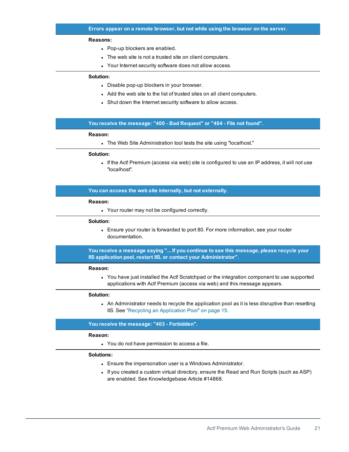#### **Reasons:**

- Pop-up blockers are enabled.
- The web site is not a trusted site on client computers.
- Your Internet security software does not allow access.

## **Solution:**

- Disable pop-up blockers in your browser.
- Add the web site to the list of trusted sites on all client computers.
- Shut down the Internet security software to allow access.

## **You receive the message: "400 - Bad Request" or "404 - File not found".**

#### **Reason:**

• The Web Site Administration tool tests the site using "localhost."

## **Solution:**

• If the Act! Premium (access via web) site is configured to use an IP address, it will not use "localhost".

#### **You can access the web site internally, but not externally.**

#### **Reason:**

• Your router may not be configured correctly.

#### **Solution:**

• Ensure your router is forwarded to port 80. For more information, see your router documentation.

**You receive a message saying "... If you continue to see this message, please recycle your IIS application pool, restart IIS, or contact your Administrator".**

#### **Reason:**

• You have just installed the Act! Scratchpad or the integration component to use supported applications with Act! Premium (access via web) and this message appears.

#### **Solution:**

• An Administrator needs to recycle the application pool as it is less disruptive than resetting IIS. See "Recycling an [Application](#page-18-0) Pool" on page 15.

#### **You receive the message: "403 - Forbidden".**

#### **Reason:**

• You do not have permission to access a file.

### **Solutions:**

- Ensure the impersonation user is a Windows Administrator.
- If you created a custom virtual directory, ensure the Read and Run Scripts (such as ASP) are enabled. See Knowledgebase Article #14868.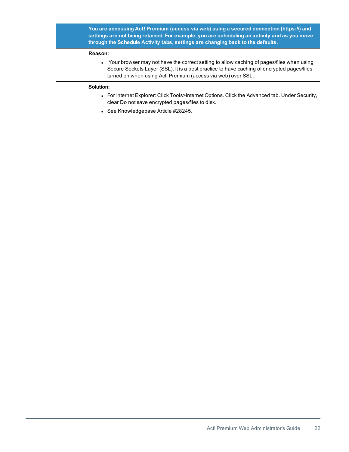**You are accessing Act! Premium (access via web) using a secured connection (https://) and settings are not being retained. For example, you are scheduling an activity and as you move through the Schedule Activity tabs, settings are changing back to the defaults.**

## **Reason:**

<span id="page-25-0"></span>• Your browser may not have the correct setting to allow caching of pages/files when using Secure Sockets Layer (SSL). It is a best practice to have caching of encrypted pages/files turned on when using Act! Premium (access via web) over SSL.

## **Solution:**

- For Internet Explorer: Click Tools>Internet Options. Click the Advanced tab. Under Security, clear Do not save encrypted pages/files to disk.
- See Knowledgebase Article #28245.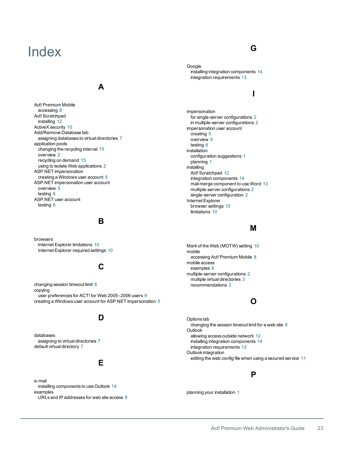# <span id="page-26-0"></span>Index

# **A**

Act! Premium Mobile accessing [8](#page-11-5) Act! Scratchpad installing [12](#page-15-2) ActiveX security [10](#page-13-1) Add/Remove Database tab assigning databases to virtual directories [7](#page-10-0) application pools changing the recycling interval [15](#page-18-2) overview [2](#page-5-2) recycling on demand [15](#page-18-3) using to isolate Web applications [2](#page-5-0) ASP.NET impersonation creating a Windows user account [5](#page-8-3) ASP.NET impersonation user account overview [5](#page-8-4) testing [6](#page-9-1) ASP.NET user account testing [6](#page-9-2)

## **B**

browsers Internet Explorer limitations [10](#page-13-2) Internet Explorer required settings [10](#page-13-1)

# **C**

changing session timeout limit [8](#page-11-6) copying user preferences for ACT! for Web 2005 -2006 users [9](#page-12-1) creating a Windows user account for ASP.NET impersonation [5](#page-8-3)

# **D**

databases assigning to virtual directories [7](#page-10-0) default virtual directory [7](#page-10-1)

# **E**

e-mail installing components to use Outlook [14](#page-17-0) examples URLs and IP addresses for web site access [8](#page-11-7) **G**

Google installing integration components [14](#page-17-0) integration requirements [13](#page-16-1)

# **I**

impersonation for single-server configurations [2](#page-5-3) in multiple-server configurations [2](#page-5-4) impersonation user account creating [5](#page-8-3) overview [5](#page-8-4) testing [6](#page-9-1) installation configuration suggestions [1](#page-4-2) planning [1](#page-4-2) installing Act! Scratchpad [12](#page-15-2) integration components [14](#page-17-0) mail merge component to use Word [13](#page-16-2) multiple-server configurations [2](#page-5-4) single-server configuration [2](#page-5-3) Internet Explorer browser settings [10](#page-13-1) limitations [10](#page-13-2)

# **M**

Mark of the Web (MOTW) setting [10](#page-13-3) mobile accessing Act! Premium Mobile [8](#page-11-5) mobile access examples [8](#page-11-7) multiple-server configurations [2](#page-5-4) multiple virtual directories [3](#page-6-1) recommendations [3](#page-6-2)

# **O**

Options tab changing the session timeout limit for a web site [8](#page-11-6) Outlook allowing access outside network [12](#page-15-0) installing integration components [14](#page-17-0) integration requirements [13](#page-16-3) Outlook integration editing the web.config file when using a secured service [11](#page-14-2)

# **P**

planning your installation [1](#page-4-2)